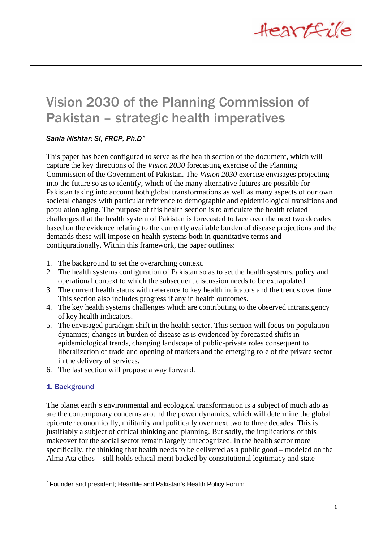

# Vision 2030 of the Planning Commission of Pakistan – strategic health imperatives

# *Sania Nishtar; SI, FRCP, Ph.D\**

This paper has been configured to serve as the health section of the document, which will capture the key directions of the *Vision 2030* forecasting exercise of the Planning Commission of the Government of Pakistan. The *Vision 2030* exercise envisages projecting into the future so as to identify, which of the many alternative futures are possible for Pakistan taking into account both global transformations as well as many aspects of our own societal changes with particular reference to demographic and epidemiological transitions and population aging. The purpose of this health section is to articulate the health related challenges that the health system of Pakistan is forecasted to face over the next two decades based on the evidence relating to the currently available burden of disease projections and the demands these will impose on health systems both in quantitative terms and configurationally. Within this framework, the paper outlines:

- 1. The background to set the overarching context.
- 2. The health systems configuration of Pakistan so as to set the health systems, policy and operational context to which the subsequent discussion needs to be extrapolated.
- 3. The current health status with reference to key health indicators and the trends over time. This section also includes progress if any in health outcomes.
- 4. The key health systems challenges which are contributing to the observed intransigency of key health indicators.
- 5. The envisaged paradigm shift in the health sector. This section will focus on population dynamics; changes in burden of disease as is evidenced by forecasted shifts in epidemiological trends, changing landscape of public-private roles consequent to liberalization of trade and opening of markets and the emerging role of the private sector in the delivery of services.
- 6. The last section will propose a way forward.

# 1. Background

The planet earth's environmental and ecological transformation is a subject of much ado as are the contemporary concerns around the power dynamics, which will determine the global epicenter economically, militarily and politically over next two to three decades. This is justifiably a subject of critical thinking and planning. But sadly, the implications of this makeover for the social sector remain largely unrecognized. In the health sector more specifically, the thinking that health needs to be delivered as a public good – modeled on the Alma Ata ethos – still holds ethical merit backed by constitutional legitimacy and state

 $\overline{a}$ \* Founder and president; Heartfile and Pakistan's Health Policy Forum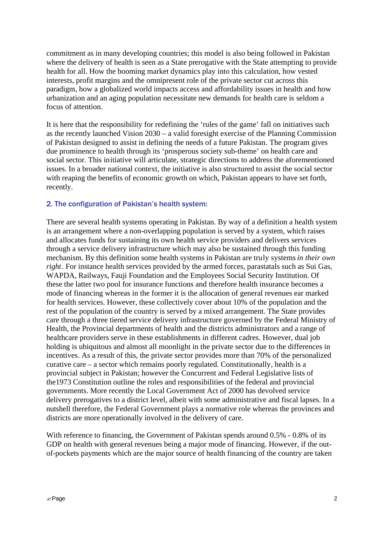commitment as in many developing countries; this model is also being followed in Pakistan where the delivery of health is seen as a State prerogative with the State attempting to provide health for all. How the booming market dynamics play into this calculation, how vested interests, profit margins and the omnipresent role of the private sector cut across this paradigm, how a globalized world impacts access and affordability issues in health and how urbanization and an aging population necessitate new demands for health care is seldom a focus of attention.

It is here that the responsibility for redefining the 'rules of the game' fall on initiatives such as the recently launched Vision 2030 – a valid foresight exercise of the Planning Commission of Pakistan designed to assist in defining the needs of a future Pakistan. The program gives due prominence to health through its 'prosperous society sub-theme' on health care and social sector. This initiative will articulate, strategic directions to address the aforementioned issues. In a broader national context, the initiative is also structured to assist the social sector with reaping the benefits of economic growth on which, Pakistan appears to have set forth, recently.

#### 2. The configuration of Pakistan's health system:

There are several health systems operating in Pakistan. By way of a definition a health system is an arrangement where a non-overlapping population is served by a system, which raises and allocates funds for sustaining its own health service providers and delivers services through a service delivery infrastructure which may also be sustained through this funding mechanism. By this definition some health systems in Pakistan are truly systems *in their own right*. For instance health services provided by the armed forces, parastatals such as Sui Gas, WAPDA, Railways, Fauji Foundation and the Employees Social Security Institution. Of these the latter two pool for insurance functions and therefore health insurance becomes a mode of financing whereas in the former it is the allocation of general revenues ear marked for health services. However, these collectively cover about 10% of the population and the rest of the population of the country is served by a mixed arrangement. The State provides care through a three tiered service delivery infrastructure governed by the Federal Ministry of Health, the Provincial departments of health and the districts administrators and a range of healthcare providers serve in these establishments in different cadres. However, dual job holding is ubiquitous and almost all moonlight in the private sector due to the differences in incentives. As a result of this, the private sector provides more than 70% of the personalized curative care – a sector which remains poorly regulated. Constitutionally, health is a provincial subject in Pakistan; however the Concurrent and Federal Legislative lists of the1973 Constitution outline the roles and responsibilities of the federal and provincial governments. More recently the Local Government Act of 2000 has devolved service delivery prerogatives to a district level, albeit with some administrative and fiscal lapses. In a nutshell therefore, the Federal Government plays a normative role whereas the provinces and districts are more operationally involved in the delivery of care.

With reference to financing, the Government of Pakistan spends around 0.5% - 0.8% of its GDP on health with general revenues being a major mode of financing. However, if the outof-pockets payments which are the major source of health financing of the country are taken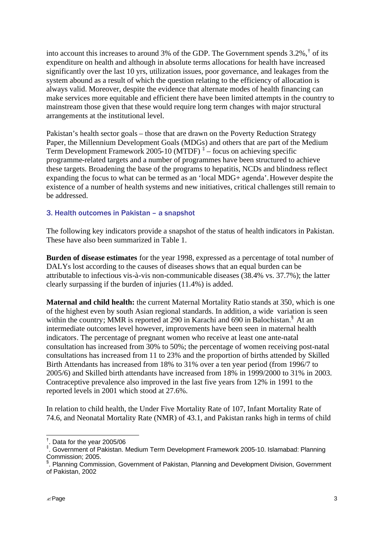into account this increases to around 3% of the GDP. The Government spends  $3.2\%$ ,  $\dagger$  of its expenditure on health and although in absolute terms allocations for health have increased significantly over the last 10 yrs, utilization issues, poor governance, and leakages from the system abound as a result of which the question relating to the efficiency of allocation is always valid. Moreover, despite the evidence that alternate modes of health financing can make services more equitable and efficient there have been limited attempts in the country to mainstream those given that these would require long term changes with major structural arrangements at the institutional level.

Pakistan's health sector goals – those that are drawn on the Poverty Reduction Strategy Paper, the Millennium Development Goals (MDGs) and others that are part of the Medium Term Development Framework 2005-10 (MTDF)<sup> $\ddagger$ </sup> – focus on achieving specific programme-related targets and a number of programmes have been structured to achieve these targets. Broadening the base of the programs to hepatitis, NCDs and blindness reflect expanding the focus to what can be termed as an 'local MDG+ agenda'.However despite the existence of a number of health systems and new initiatives, critical challenges still remain to be addressed.

# 3. Health outcomes in Pakistan – a snapshot

The following key indicators provide a snapshot of the status of health indicators in Pakistan. These have also been summarized in Table 1.

**Burden of disease estimates** for the year 1998, expressed as a percentage of total number of DALYs lost according to the causes of diseases shows that an equal burden can be attributable to infectious vis-à-vis non-communicable diseases (38.4% vs. 37.7%); the latter clearly surpassing if the burden of injuries (11.4%) is added.

**Maternal and child health:** the current Maternal Mortality Ratio stands at 350, which is one of the highest even by south Asian regional standards. In addition, a wide variation is seen within the country; MMR is reported at 290 in Karachi and 690 in Balochistan.<sup>§</sup> At an intermediate outcomes level however, improvements have been seen in maternal health indicators. The percentage of pregnant women who receive at least one ante-natal consultation has increased from 30% to 50%; the percentage of women receiving post-natal consultations has increased from 11 to 23% and the proportion of births attended by Skilled Birth Attendants has increased from 18% to 31% over a ten year period (from 1996/7 to 2005/6) and Skilled birth attendants have increased from 18% in 1999/2000 to 31% in 2003. Contraceptive prevalence also improved in the last five years from 12% in 1991 to the reported levels in 2001 which stood at 27.6%.

In relation to child health, the Under Five Mortality Rate of 107, Infant Mortality Rate of 74.6, and Neonatal Mortality Rate (NMR) of 43.1, and Pakistan ranks high in terms of child

 † . Data for the year 2005/06

<sup>‡</sup> . Government of Pakistan. Medium Term Development Framework 2005-10. Islamabad: Planning Commission; 2005.

<sup>§</sup> . Planning Commission, Government of Pakistan, Planning and Development Division, Government of Pakistan, 2002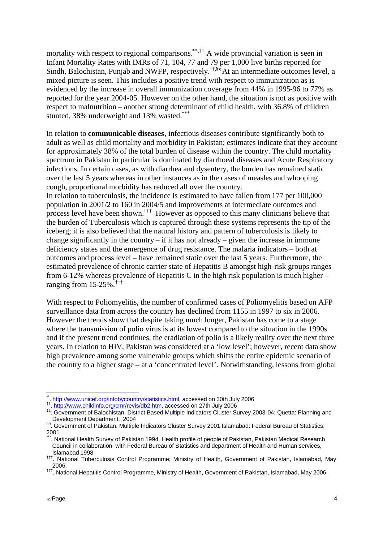mortality with respect to regional comparisons.<sup>\*\*,††</sup> A wide provincial variation is seen in Infant Mortality Rates with IMRs of 71, 104, 77 and 79 per 1,000 live births reported for Sindh, Balochistan, Punjab and NWFP, respectively.<sup> $\ddagger$  $\ddagger$ ,§§</sup>At an intermediate outcomes level, a mixed picture is seen. This includes a positive trend with respect to immunization as is evidenced by the increase in overall immunization coverage from 44% in 1995-96 to 77% as reported for the year 2004-05. However on the other hand, the situation is not as positive with respect to malnutrition – another strong determinant of child health, with 36.8% of children stunted, 38% underweight and 13% wasted.\*\*

In relation to **communicable diseases**, infectious diseases contribute significantly both to adult as well as child mortality and morbidity in Pakistan; estimates indicate that they account for approximately 38% of the total burden of disease within the country. The child mortality spectrum in Pakistan in particular is dominated by diarrhoeal diseases and Acute Respiratory infections. In certain cases, as with diarrhea and dysentery, the burden has remained static over the last 5 years whereas in other instances as in the cases of measles and whooping cough, proportional morbidity has reduced all over the country.

In relation to tuberculosis, the incidence is estimated to have fallen from 177 per 100,000 population in 2001/2 to 160 in 2004/5 and improvements at intermediate outcomes and process level have been shown.††† However as opposed to this many clinicians believe that the burden of Tuberculosis which is captured through these systems represents the tip of the iceberg; it is also believed that the natural history and pattern of tuberculosis is likely to change significantly in the country  $-$  if it has not already  $-$  given the increase in immune deficiency states and the emergence of drug resistance. The malaria indicators – both at outcomes and process level – have remained static over the last 5 years. Furthermore, the estimated prevalence of chronic carrier state of Hepatitis B amongst high-risk groups ranges from 6-12% whereas prevalence of Hepatitis C in the high risk population is much higher – ranging from  $15-25\%$ .<sup>‡‡‡</sup>

With respect to Poliomyelitis, the number of confirmed cases of Poliomyelitis based on AFP surveillance data from across the country has declined from 1155 in 1997 to six in 2006. However the trends show that despite taking much longer, Pakistan has come to a stage where the transmission of polio virus is at its lowest compared to the situation in the 1990s and if the present trend continues, the eradiation of polio is a likely reality over the next three years. In relation to HIV, Pakistan was considered at a 'low level'; however, recent data show high prevalence among some vulnerable groups which shifts the entire epidemic scenario of the country to a higher stage – at a 'concentrated level'. Notwithstanding, lessons from global

 \*\* . http://www.unicef.org/infobycountry/statistics.html, accessed on 30th July 2006 †† . http://www.childinfo.org/cmr/revis/db2.htm, accessed on 27th July 2006

<sup>‡‡</sup>. Government of Balochistan. District-Based Multiple Indicators Cluster Survey 2003-04; Quetta: Planning and Development Department; 2004

<sup>§§.</sup> Government of Pakistan. Multiple Indicators Cluster Survey 2001.Islamabad: Federal Bureau of Statistics; 2001

<sup>.</sup> National Health Survey of Pakistan 1994, Health profile of people of Pakistan, Pakistan Medical Research Council in collaboration with Federal Bureau of Statistics and department of Health and Human services, Islamabad 1998

<sup>†††</sup>. National Tuberculosis Control Programme; Ministry of Health, Government of Pakistan, Islamabad, May 2006.

<sup>‡‡‡</sup>. National Hepatitis Control Programme, Ministry of Health, Government of Pakistan, Islamabad, May 2006.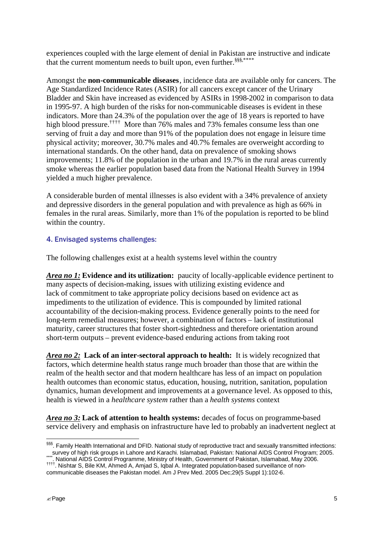experiences coupled with the large element of denial in Pakistan are instructive and indicate that the current momentum needs to built upon, even further.<sup>§§§,\*\*\*\*</sup>

Amongst the **non-communicable diseases**, incidence data are available only for cancers. The Age Standardized Incidence Rates (ASIR) for all cancers except cancer of the Urinary Bladder and Skin have increased as evidenced by ASIRs in 1998-2002 in comparison to data in 1995-97. A high burden of the risks for non-communicable diseases is evident in these indicators. More than 24.3% of the population over the age of 18 years is reported to have high blood pressure.<sup>††††</sup> More than 76% males and 73% females consume less than one serving of fruit a day and more than 91% of the population does not engage in leisure time physical activity; moreover, 30.7% males and 40.7% females are overweight according to international standards. On the other hand, data on prevalence of smoking shows improvements; 11.8% of the population in the urban and 19.7% in the rural areas currently smoke whereas the earlier population based data from the National Health Survey in 1994 yielded a much higher prevalence.

A considerable burden of mental illnesses is also evident with a 34% prevalence of anxiety and depressive disorders in the general population and with prevalence as high as 66% in females in the rural areas. Similarly, more than 1% of the population is reported to be blind within the country.

# 4. Envisaged systems challenges:

The following challenges exist at a health systems level within the country

*Area no 1:* **Evidence and its utilization:** paucity of locally-applicable evidence pertinent to many aspects of decision-making, issues with utilizing existing evidence and lack of commitment to take appropriate policy decisions based on evidence act as impediments to the utilization of evidence. This is compounded by limited rational accountability of the decision-making process. Evidence generally points to the need for long-term remedial measures; however, a combination of factors – lack of institutional maturity, career structures that foster short-sightedness and therefore orientation around short-term outputs – prevent evidence-based enduring actions from taking root

*Area no 2:* **Lack of an inter-sectoral approach to health:** It is widely recognized that factors, which determine health status range much broader than those that are within the realm of the health sector and that modern healthcare has less of an impact on population health outcomes than economic status, education, housing, nutrition, sanitation, population dynamics, human development and improvements at a governance level. As opposed to this, health is viewed in a *healthcare system* rather than a *health systems* context

*Area no 3:* **Lack of attention to health systems:** decades of focus on programme-based service delivery and emphasis on infrastructure have led to probably an inadvertent neglect at

 $\overline{a}$ §§§. Family Health International and DFID. National study of reproductive tract and sexually transmitted infections: survey of high risk groups in Lahore and Karachi. Islamabad, Pakistan: National AIDS Control Program; 2005. \*\*\*\*

<sup>.</sup> National AIDS Control Programme, Ministry of Health, Government of Pakistan, Islamabad, May 2006. †††† . Nishtar S, Bile KM, Ahmed A, Amjad S, Iqbal A. Integrated population-based surveillance of non-

communicable diseases the Pakistan model. Am J Prev Med. 2005 Dec;29(5 Suppl 1):102-6.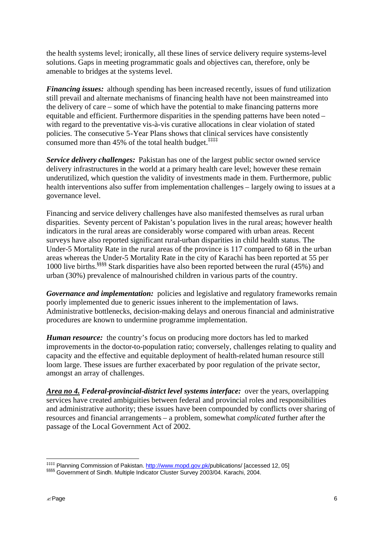the health systems level; ironically, all these lines of service delivery require systems-level solutions. Gaps in meeting programmatic goals and objectives can, therefore, only be amenable to bridges at the systems level.

*Financing issues:* although spending has been increased recently, issues of fund utilization still prevail and alternate mechanisms of financing health have not been mainstreamed into the delivery of care – some of which have the potential to make financing patterns more equitable and efficient. Furthermore disparities in the spending patterns have been noted – with regard to the preventative vis-à-vis curative allocations in clear violation of stated policies. The consecutive 5-Year Plans shows that clinical services have consistently consumed more than 45% of the total health budget.<sup>‡‡‡‡</sup>

*Service delivery challenges:* Pakistan has one of the largest public sector owned service delivery infrastructures in the world at a primary health care level; however these remain underutilized, which question the validity of investments made in them. Furthermore, public health interventions also suffer from implementation challenges – largely owing to issues at a governance level.

Financing and service delivery challenges have also manifested themselves as rural urban disparities. Seventy percent of Pakistan's population lives in the rural areas; however health indicators in the rural areas are considerably worse compared with urban areas. Recent surveys have also reported significant rural-urban disparities in child health status. The Under-5 Mortality Rate in the rural areas of the province is 117 compared to 68 in the urban areas whereas the Under-5 Mortality Rate in the city of Karachi has been reported at 55 per 1000 live births.§§§§ Stark disparities have also been reported between the rural (45%) and urban (30%) prevalence of malnourished children in various parts of the country.

*Governance and implementation:* policies and legislative and regulatory frameworks remain poorly implemented due to generic issues inherent to the implementation of laws. Administrative bottlenecks, decision-making delays and onerous financial and administrative procedures are known to undermine programme implementation.

*Human resource:*the country's focus on producing more doctors has led to marked improvements in the doctor-to-population ratio; conversely, challenges relating to quality and capacity and the effective and equitable deployment of health-related human resource still loom large. These issues are further exacerbated by poor regulation of the private sector, amongst an array of challenges.

*Area no 4. Federal-provincial-district level systems interface:*over the years, overlapping services have created ambiguities between federal and provincial roles and responsibilities and administrative authority; these issues have been compounded by conflicts over sharing of resources and financial arrangements – a problem, somewhat *complicated* further after the passage of the Local Government Act of 2002.

 $\overline{a}$ 

<sup>‡‡‡‡</sup> Planning Commission of Pakistan. http://www.mopd.gov.pk/publications/ [accessed 12, 05] §§§§§ Government of Sindh. Multiple Indicator Cluster Survey 2003/04. Karachi, 2004.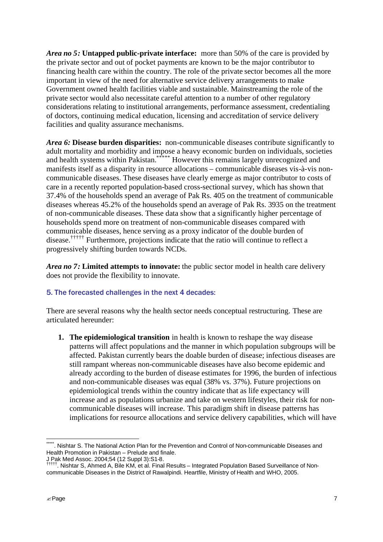*Area no 5:* **Untapped public-private interface:** more than 50% of the care is provided by the private sector and out of pocket payments are known to be the major contributor to financing health care within the country. The role of the private sector becomes all the more important in view of the need for alternative service delivery arrangements to make Government owned health facilities viable and sustainable. Mainstreaming the role of the private sector would also necessitate careful attention to a number of other regulatory considerations relating to institutional arrangements, performance assessment, credentialing of doctors, continuing medical education, licensing and accreditation of service delivery facilities and quality assurance mechanisms.

*Area 6:* **Disease burden disparities:** non-communicable diseases contribute significantly to adult mortality and morbidity and impose a heavy economic burden on individuals, societies and health systems within Pakistan.<sup>\*\*\*\*\*</sup> However this remains largely unrecognized and manifests itself as a disparity in resource allocations – communicable diseases vis-à-vis noncommunicable diseases. These diseases have clearly emerge as major contributor to costs of care in a recently reported population-based cross-sectional survey, which has shown that 37.4% of the households spend an average of Pak Rs. 405 on the treatment of communicable diseases whereas 45.2% of the households spend an average of Pak Rs. 3935 on the treatment of non-communicable diseases. These data show that a significantly higher percentage of households spend more on treatment of non-communicable diseases compared with communicable diseases, hence serving as a proxy indicator of the double burden of disease.††††† Furthermore, projections indicate that the ratio will continue to reflect a progressively shifting burden towards NCDs.

*Area no 7:* **Limited attempts to innovate:** the public sector model in health care delivery does not provide the flexibility to innovate.

# 5. The forecasted challenges in the next 4 decades:

There are several reasons why the health sector needs conceptual restructuring. These are articulated hereunder:

**1. The epidemiological transition** in health is known to reshape the way disease patterns will affect populations and the manner in which population subgroups will be affected. Pakistan currently bears the doable burden of disease; infectious diseases are still rampant whereas non-communicable diseases have also become epidemic and already according to the burden of disease estimates for 1996, the burden of infectious and non-communicable diseases was equal (38% vs. 37%). Future projections on epidemiological trends within the country indicate that as life expectancy will increase and as populations urbanize and take on western lifestyles, their risk for noncommunicable diseases will increase. This paradigm shift in disease patterns has implications for resource allocations and service delivery capabilities, which will have

 $\overline{a}$ . Nishtar S. The National Action Plan for the Prevention and Control of Non-communicable Diseases and Health Promotion in Pakistan – Prelude and finale.

J Pak Med Assoc. 2004;54 (12 Suppl 3):S1-8.

<sup>†††††</sup>. Nishtar S, Ahmed A, Bile KM, et al. Final Results – Integrated Population Based Surveillance of Noncommunicable Diseases in the District of Rawalpindi. Heartfile, Ministry of Health and WHO, 2005.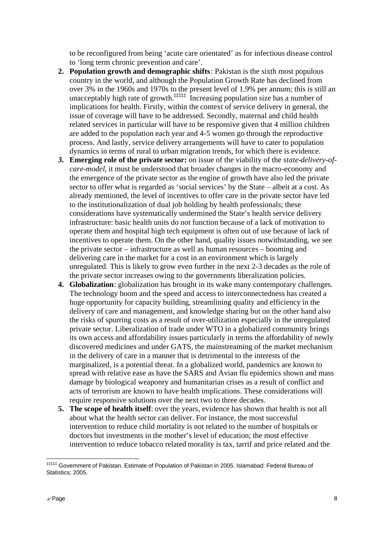to be reconfigured from being 'acute care orientated' as for infectious disease control to 'long term chronic prevention and care'.

- **2. Population growth and demographic shifts**: Pakistan is the sixth most populous country in the world, and although the Population Growth Rate has declined from over 3% in the 1960s and 1970s to the present level of 1.9% per annum; this is still an unacceptably high rate of growth.<sup> $\ddagger$ †</sup> $\ddagger$ <sup>†</sup> Increasing population size has a number of implications for health. Firstly, within the context of service delivery in general, the issue of coverage will have to be addressed. Secondly, maternal and child health related services in particular will have to be responsive given that 4 million children are added to the population each year and 4-5 women go through the reproductive process. And lastly, service delivery arrangements will have to cater to population dynamics in terms of rural to urban migration trends, for which there is evidence.
- *3.* **Emerging role of the private sector:** on issue of the viability of the *state-delivery-ofcare-model*, it must be understood that broader changes in the macro-economy and the emergence of the private sector as the engine of growth have also led the private sector to offer what is regarded as 'social services' by the State – albeit at a cost. As already mentioned, the level of incentives to offer care in the private sector have led to the institutionalization of dual job holding by health professionals; these considerations have systematically undermined the State's health service delivery infrastructure: basic health units do not function because of a lack of motivation to operate them and hospital high tech equipment is often out of use because of lack of incentives to operate them. On the other hand, quality issues notwithstanding, we see the private sector – infrastructure as well as human resources – booming and delivering care in the market for a cost in an environment which is largely unregulated. This is likely to grow even further in the next 2-3 decades as the role of the private sector increases owing to the governments liberalization policies.
- **4. Globalization**: globalization has brought in its wake many contemporary challenges. The technology boom and the speed and access to interconnectedness has created a huge opportunity for capacity building, streamlining quality and efficiency in the delivery of care and management, and knowledge sharing but on the other hand also the risks of spurring costs as a result of over-utilization especially in the unregulated private sector. Liberalization of trade under WTO in a globalized community brings its own access and affordability issues particularly in terms the affordability of newly discovered medicines and under GATS, the mainstreaming of the market mechanism in the delivery of care in a manner that is detrimental to the interests of the marginalized, is a potential threat. In a globalized world, pandemics are known to spread with relative ease as have the SARS and Avian flu epidemics shown and mass damage by biological weaponry and humanitarian crises as a result of conflict and acts of terrorism are known to have health implications. These considerations will require responsive solutions over the next two to three decades.
- **5. The scope of health itself**: over the years, evidence has shown that health is not all about what the health sector can deliver. For instance, the most successful intervention to reduce child mortality is not related to the number of hospitals or doctors but investments in the mother's level of education; the most effective intervention to reduce tobacco related morality is tax, tarrif and price related and the

 $\overline{a}$ ‡‡‡‡‡ Government of Pakistan. Estimate of Population of Pakistan in 2005. Islamabad: Federal Bureau of Statistics; 2005.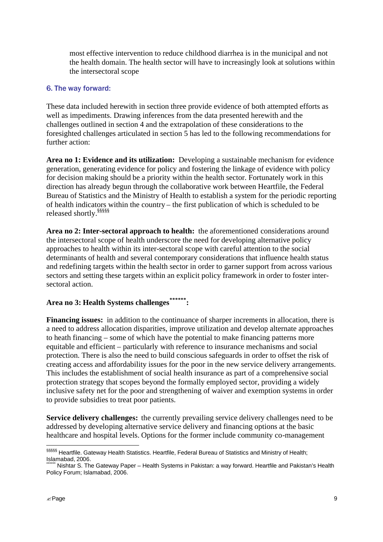most effective intervention to reduce childhood diarrhea is in the municipal and not the health domain. The health sector will have to increasingly look at solutions within the intersectoral scope

#### 6. The way forward:

These data included herewith in section three provide evidence of both attempted efforts as well as impediments. Drawing inferences from the data presented herewith and the challenges outlined in section 4 and the extrapolation of these considerations to the foresighted challenges articulated in section 5 has led to the following recommendations for further action:

**Area no 1: Evidence and its utilization:** Developing a sustainable mechanism for evidence generation, generating evidence for policy and fostering the linkage of evidence with policy for decision making should be a priority within the health sector. Fortunately work in this direction has already begun through the collaborative work between Heartfile, the Federal Bureau of Statistics and the Ministry of Health to establish a system for the periodic reporting of health indicators within the country – the first publication of which is scheduled to be released shortly.§§§§§

**Area no 2: Inter-sectoral approach to health:** the aforementioned considerations around the intersectoral scope of health underscore the need for developing alternative policy approaches to health within its inter-sectoral scope with careful attention to the social determinants of health and several contemporary considerations that influence health status and redefining targets within the health sector in order to garner support from across various sectors and setting these targets within an explicit policy framework in order to foster intersectoral action.

# **Area no 3: Health Systems challenges\*\*\*\*\*\*:**

**Financing issues:** in addition to the continuance of sharper increments in allocation, there is a need to address allocation disparities, improve utilization and develop alternate approaches to heath financing – some of which have the potential to make financing patterns more equitable and efficient – particularly with reference to insurance mechanisms and social protection. There is also the need to build conscious safeguards in order to offset the risk of creating access and affordability issues for the poor in the new service delivery arrangements. This includes the establishment of social health insurance as part of a comprehensive social protection strategy that scopes beyond the formally employed sector, providing a widely inclusive safety net for the poor and strengthening of waiver and exemption systems in order to provide subsidies to treat poor patients.

**Service delivery challenges:**the currently prevailing service delivery challenges need to be addressed by developing alternative service delivery and financing options at the basic healthcare and hospital levels. Options for the former include community co-management

 $\overline{a}$ 

<sup>§§§§§§§</sup> Heartfile. Gateway Health Statistics. Heartfile, Federal Bureau of Statistics and Ministry of Health; Islamabad, 2006.

<sup>\*\*\*\*\*\*\*\*,\*\*\*\*\*\*\*</sup> Paper – Health Systems in Pakistan: a way forward. Heartfile and Pakistan's Health Policy Forum; Islamabad, 2006.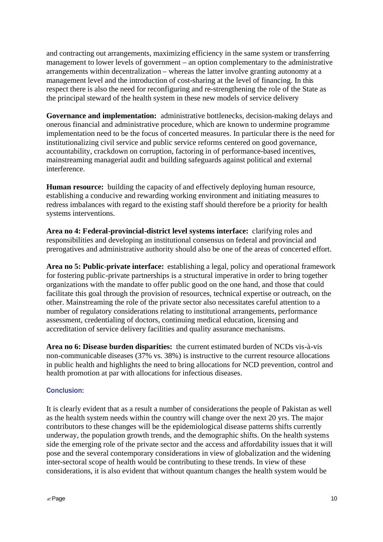and contracting out arrangements, maximizing efficiency in the same system or transferring management to lower levels of government – an option complementary to the administrative arrangements within decentralization – whereas the latter involve granting autonomy at a management level and the introduction of cost-sharing at the level of financing. In this respect there is also the need for reconfiguring and re-strengthening the role of the State as the principal steward of the health system in these new models of service delivery

**Governance and implementation:** administrative bottlenecks, decision-making delays and onerous financial and administrative procedure, which are known to undermine programme implementation need to be the focus of concerted measures. In particular there is the need for institutionalizing civil service and public service reforms centered on good governance, accountability, crackdown on corruption, factoring in of performance-based incentives, mainstreaming managerial audit and building safeguards against political and external interference.

**Human resource:** building the capacity of and effectively deploying human resource, establishing a conducive and rewarding working environment and initiating measures to redress imbalances with regard to the existing staff should therefore be a priority for health systems interventions.

**Area no 4: Federal-provincial-district level systems interface:** clarifying roles and responsibilities and developing an institutional consensus on federal and provincial and prerogatives and administrative authority should also be one of the areas of concerted effort.

**Area no 5: Public-private interface:** establishing a legal, policy and operational framework for fostering public-private partnerships is a structural imperative in order to bring together organizations with the mandate to offer public good on the one hand, and those that could facilitate this goal through the provision of resources, technical expertise or outreach, on the other. Mainstreaming the role of the private sector also necessitates careful attention to a number of regulatory considerations relating to institutional arrangements, performance assessment, credentialing of doctors, continuing medical education, licensing and accreditation of service delivery facilities and quality assurance mechanisms.

**Area no 6: Disease burden disparities:** the current estimated burden of NCDs vis-à-vis non-communicable diseases (37% vs. 38%) is instructive to the current resource allocations in public health and highlights the need to bring allocations for NCD prevention, control and health promotion at par with allocations for infectious diseases.

# Conclusion:

It is clearly evident that as a result a number of considerations the people of Pakistan as well as the health system needs within the country will change over the next 20 yrs. The major contributors to these changes will be the epidemiological disease patterns shifts currently underway, the population growth trends, and the demographic shifts. On the health systems side the emerging role of the private sector and the access and affordability issues that it will pose and the several contemporary considerations in view of globalization and the widening inter-sectoral scope of health would be contributing to these trends. In view of these considerations, it is also evident that without quantum changes the health system would be